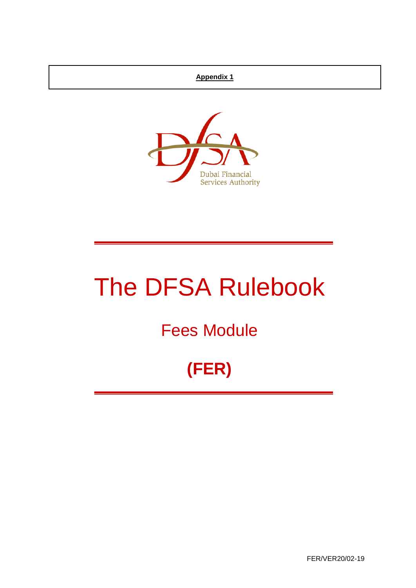## **Appendix 1**



# The DFSA Rulebook

## Fees Module

## **(FER)**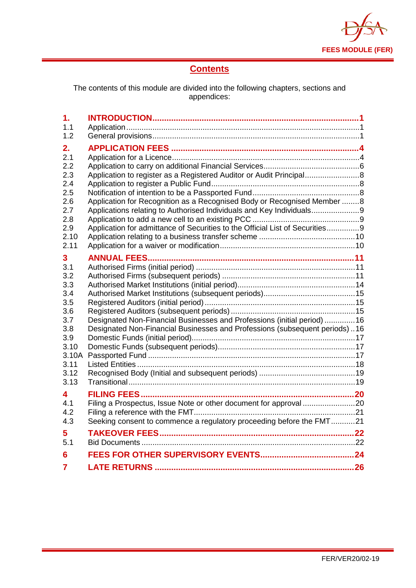

## **Contents**

The contents of this module are divided into the following chapters, sections and appendices:

| 1.            |                                                                              |  |
|---------------|------------------------------------------------------------------------------|--|
| 1.1           |                                                                              |  |
| 1.2           |                                                                              |  |
| 2.            |                                                                              |  |
| 2.1           |                                                                              |  |
| 2.2           |                                                                              |  |
| 2.3           | Application to register as a Registered Auditor or Audit Principal           |  |
| 2.4           |                                                                              |  |
| 2.5           |                                                                              |  |
| 2.6           | Application for Recognition as a Recognised Body or Recognised Member 8      |  |
| 2.7<br>2.8    | Applications relating to Authorised Individuals and Key Individuals9         |  |
| 2.9           | Application for admittance of Securities to the Official List of Securities9 |  |
| 2.10          |                                                                              |  |
| 2.11          |                                                                              |  |
|               |                                                                              |  |
| 3<br>3.1      |                                                                              |  |
| 3.2           |                                                                              |  |
| 3.3           |                                                                              |  |
| 3.4           |                                                                              |  |
| 3.5           |                                                                              |  |
| 3.6           |                                                                              |  |
| 3.7           | Designated Non-Financial Businesses and Professions (initial period) 16      |  |
| 3.8           | Designated Non-Financial Businesses and Professions (subsequent periods)16   |  |
| 3.9           |                                                                              |  |
| 3.10          |                                                                              |  |
| 3.10A<br>3.11 |                                                                              |  |
| 3.12          |                                                                              |  |
| 3.13          |                                                                              |  |
|               |                                                                              |  |
| 4<br>4.1      | Filing a Prospectus, Issue Note or other document for approval 20            |  |
| 4.2           |                                                                              |  |
| 4.3           | Seeking consent to commence a regulatory proceeding before the FMT21         |  |
|               |                                                                              |  |
| 5             |                                                                              |  |
| 5.1           |                                                                              |  |
| 6             |                                                                              |  |
| 7             |                                                                              |  |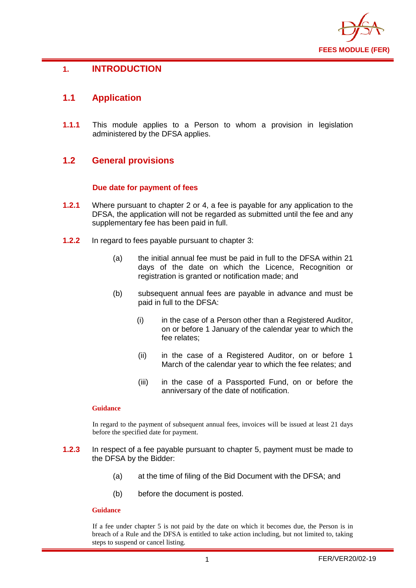

## <span id="page-2-0"></span>**1. INTRODUCTION**

## <span id="page-2-1"></span>**1.1 Application**

**1.1.1** This module applies to a Person to whom a provision in legislation administered by the DFSA applies.

## <span id="page-2-2"></span>**1.2 General provisions**

#### **Due date for payment of fees**

- **1.2.1** Where pursuant to chapter 2 or 4, a fee is payable for any application to the DFSA, the application will not be regarded as submitted until the fee and any supplementary fee has been paid in full.
- **1.2.2** In regard to fees payable pursuant to chapter 3:
	- (a) the initial annual fee must be paid in full to the DFSA within 21 days of the date on which the Licence, Recognition or registration is granted or notification made; and
	- (b) subsequent annual fees are payable in advance and must be paid in full to the DFSA:
		- (i) in the case of a Person other than a Registered Auditor, on or before 1 January of the calendar year to which the fee relates;
		- (ii) in the case of a Registered Auditor, on or before 1 March of the calendar year to which the fee relates; and
		- (iii) in the case of a Passported Fund, on or before the anniversary of the date of notification.

#### **Guidance**

In regard to the payment of subsequent annual fees, invoices will be issued at least 21 days before the specified date for payment.

- **1.2.3** In respect of a fee payable pursuant to chapter 5, payment must be made to the DFSA by the Bidder:
	- (a) at the time of filing of the Bid Document with the DFSA; and
	- (b) before the document is posted.

#### **Guidance**

If a fee under chapter 5 is not paid by the date on which it becomes due, the Person is in breach of a Rule and the DFSA is entitled to take action including, but not limited to, taking steps to suspend or cancel listing.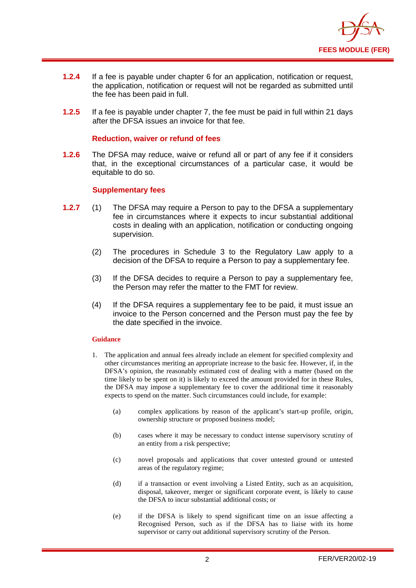

- **1.2.4** If a fee is payable under chapter 6 for an application, notification or request, the application, notification or request will not be regarded as submitted until the fee has been paid in full.
- **1.2.5** If a fee is payable under chapter 7, the fee must be paid in full within 21 days after the DFSA issues an invoice for that fee.

#### **Reduction, waiver or refund of fees**

**1.2.6** The DFSA may reduce, waive or refund all or part of any fee if it considers that, in the exceptional circumstances of a particular case, it would be equitable to do so.

#### **Supplementary fees**

- **1.2.7** (1) The DFSA may require a Person to pay to the DFSA a supplementary fee in circumstances where it expects to incur substantial additional costs in dealing with an application, notification or conducting ongoing supervision.
	- (2) The procedures in Schedule 3 to the Regulatory Law apply to a decision of the DFSA to require a Person to pay a supplementary fee.
	- (3) If the DFSA decides to require a Person to pay a supplementary fee, the Person may refer the matter to the FMT for review.
	- (4) If the DFSA requires a supplementary fee to be paid, it must issue an invoice to the Person concerned and the Person must pay the fee by the date specified in the invoice.

#### **Guidance**

- 1. The application and annual fees already include an element for specified complexity and other circumstances meriting an appropriate increase to the basic fee. However, if, in the DFSA's opinion, the reasonably estimated cost of dealing with a matter (based on the time likely to be spent on it) is likely to exceed the amount provided for in these Rules, the DFSA may impose a supplementary fee to cover the additional time it reasonably expects to spend on the matter. Such circumstances could include, for example:
	- (a) complex applications by reason of the applicant's start-up profile, origin, ownership structure or proposed business model;
	- (b) cases where it may be necessary to conduct intense supervisory scrutiny of an entity from a risk perspective;
	- (c) novel proposals and applications that cover untested ground or untested areas of the regulatory regime;
	- (d) if a transaction or event involving a Listed Entity, such as an acquisition, disposal, takeover, merger or significant corporate event, is likely to cause the DFSA to incur substantial additional costs; or
	- (e) if the DFSA is likely to spend significant time on an issue affecting a Recognised Person, such as if the DFSA has to liaise with its home supervisor or carry out additional supervisory scrutiny of the Person.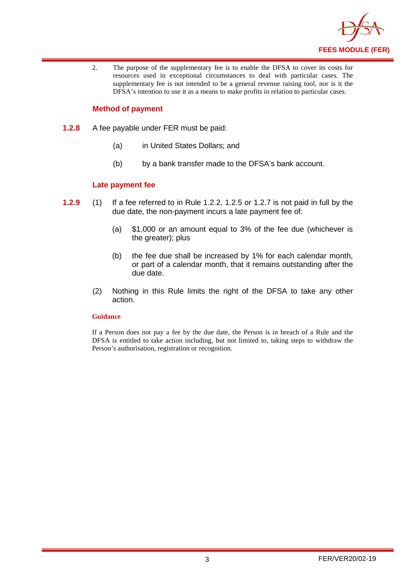

2. The purpose of the supplementary fee is to enable the DFSA to cover its costs for resources used in exceptional circumstances to deal with particular cases. The supplementary fee is not intended to be a general revenue raising tool, nor is it the DFSA's intention to use it as a means to make profits in relation to particular cases.

#### **Method of payment**

- **1.2.8** A fee payable under FER must be paid:
	- (a) in United States Dollars; and
	- (b) by a bank transfer made to the DFSA's bank account.

#### **Late payment fee**

- **1.2.9** (1) If a fee referred to in Rule 1.2.2, 1.2.5 or 1.2.7 is not paid in full by the due date, the non-payment incurs a late payment fee of:
	- (a) \$1,000 or an amount equal to 3% of the fee due (whichever is the greater); plus
	- (b) the fee due shall be increased by 1% for each calendar month, or part of a calendar month, that it remains outstanding after the due date.
	- (2) Nothing in this Rule limits the right of the DFSA to take any other action.

#### **Guidance**

If a Person does not pay a fee by the due date, the Person is in breach of a Rule and the DFSA is entitled to take action including, but not limited to, taking steps to withdraw the Person's authorisation, registration or recognition.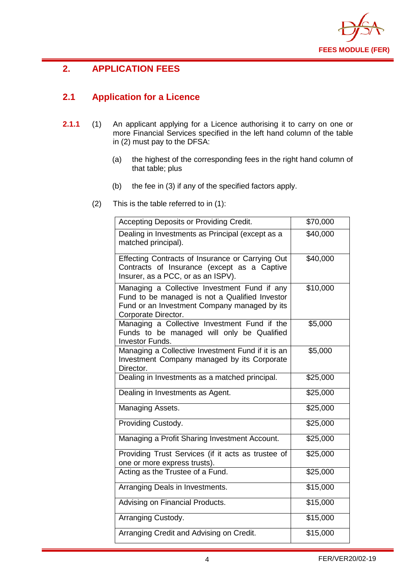

## <span id="page-5-0"></span>**2. APPLICATION FEES**

## <span id="page-5-1"></span>**2.1 Application for a Licence**

- **2.1.1** (1) An applicant applying for a Licence authorising it to carry on one or more Financial Services specified in the left hand column of the table in (2) must pay to the DFSA:
	- (a) the highest of the corresponding fees in the right hand column of that table; plus
	- (b) the fee in (3) if any of the specified factors apply.
	- (2) This is the table referred to in (1):

| Accepting Deposits or Providing Credit.                                                                                                                               | \$70,000 |
|-----------------------------------------------------------------------------------------------------------------------------------------------------------------------|----------|
| Dealing in Investments as Principal (except as a<br>matched principal).                                                                                               | \$40,000 |
| Effecting Contracts of Insurance or Carrying Out<br>Contracts of Insurance (except as a Captive<br>Insurer, as a PCC, or as an ISPV).                                 | \$40,000 |
| Managing a Collective Investment Fund if any<br>Fund to be managed is not a Qualified Investor<br>Fund or an Investment Company managed by its<br>Corporate Director. | \$10,000 |
| Managing a Collective Investment Fund if the<br>Funds to be managed will only be Qualified<br><b>Investor Funds.</b>                                                  | \$5,000  |
| Managing a Collective Investment Fund if it is an<br>Investment Company managed by its Corporate<br>Director.                                                         | \$5,000  |
| Dealing in Investments as a matched principal.                                                                                                                        | \$25,000 |
| Dealing in Investments as Agent.                                                                                                                                      | \$25,000 |
| Managing Assets.                                                                                                                                                      | \$25,000 |
| Providing Custody.                                                                                                                                                    | \$25,000 |
| Managing a Profit Sharing Investment Account.                                                                                                                         | \$25,000 |
| Providing Trust Services (if it acts as trustee of<br>one or more express trusts).                                                                                    | \$25,000 |
| Acting as the Trustee of a Fund.                                                                                                                                      | \$25,000 |
| Arranging Deals in Investments.                                                                                                                                       | \$15,000 |
| Advising on Financial Products.                                                                                                                                       | \$15,000 |
| Arranging Custody.                                                                                                                                                    | \$15,000 |
| Arranging Credit and Advising on Credit.                                                                                                                              | \$15,000 |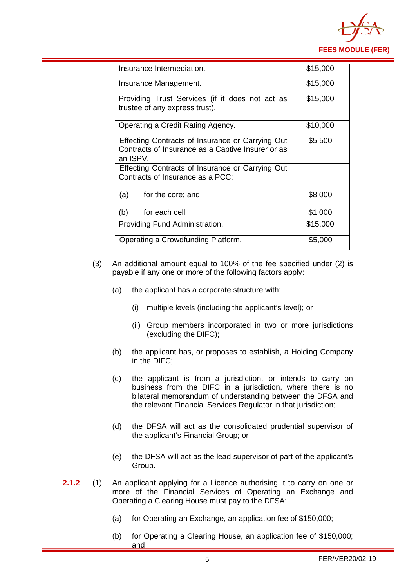

| Insurance Intermediation.                                                                                         | \$15,000 |
|-------------------------------------------------------------------------------------------------------------------|----------|
| Insurance Management.                                                                                             | \$15,000 |
| Providing Trust Services (if it does not act as<br>trustee of any express trust).                                 | \$15,000 |
| Operating a Credit Rating Agency.                                                                                 | \$10,000 |
| Effecting Contracts of Insurance or Carrying Out<br>Contracts of Insurance as a Captive Insurer or as<br>an ISPV. | \$5,500  |
| Effecting Contracts of Insurance or Carrying Out<br>Contracts of Insurance as a PCC:                              |          |
| (a)<br>for the core; and                                                                                          | \$8,000  |
| (b)<br>for each cell                                                                                              | \$1,000  |
| Providing Fund Administration.                                                                                    | \$15,000 |
| Operating a Crowdfunding Platform.                                                                                | \$5,000  |

- (3) An additional amount equal to 100% of the fee specified under (2) is payable if any one or more of the following factors apply:
	- (a) the applicant has a corporate structure with:
		- (i) multiple levels (including the applicant's level); or
		- (ii) Group members incorporated in two or more jurisdictions (excluding the DIFC);
	- (b) the applicant has, or proposes to establish, a Holding Company in the DIFC;
	- (c) the applicant is from a jurisdiction, or intends to carry on business from the DIFC in a jurisdiction, where there is no bilateral memorandum of understanding between the DFSA and the relevant Financial Services Regulator in that jurisdiction;
	- (d) the DFSA will act as the consolidated prudential supervisor of the applicant's Financial Group; or
	- (e) the DFSA will act as the lead supervisor of part of the applicant's Group.
- **2.1.2** (1) An applicant applying for a Licence authorising it to carry on one or more of the Financial Services of Operating an Exchange and Operating a Clearing House must pay to the DFSA:
	- (a) for Operating an Exchange, an application fee of \$150,000;
	- (b) for Operating a Clearing House, an application fee of \$150,000; and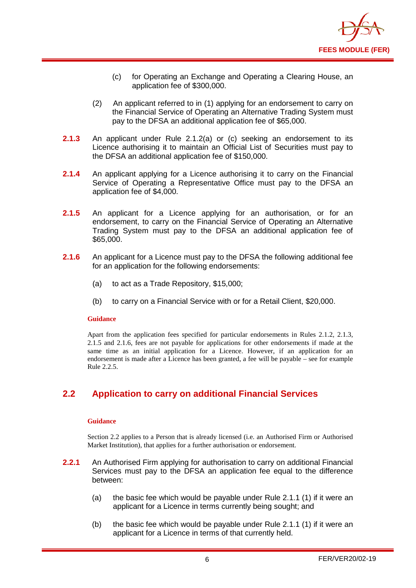

- (c) for Operating an Exchange and Operating a Clearing House, an application fee of \$300,000.
- (2) An applicant referred to in (1) applying for an endorsement to carry on the Financial Service of Operating an Alternative Trading System must pay to the DFSA an additional application fee of \$65,000.
- **2.1.3** An applicant under Rule 2.1.2(a) or (c) seeking an endorsement to its Licence authorising it to maintain an Official List of Securities must pay to the DFSA an additional application fee of \$150,000.
- **2.1.4** An applicant applying for a Licence authorising it to carry on the Financial Service of Operating a Representative Office must pay to the DFSA an application fee of \$4,000.
- **2.1.5** An applicant for a Licence applying for an authorisation, or for an endorsement, to carry on the Financial Service of Operating an Alternative Trading System must pay to the DFSA an additional application fee of \$65,000.
- **2.1.6** An applicant for a Licence must pay to the DFSA the following additional fee for an application for the following endorsements:
	- (a) to act as a Trade Repository, \$15,000;
	- (b) to carry on a Financial Service with or for a Retail Client, \$20,000.

#### **Guidance**

Apart from the application fees specified for particular endorsements in Rules 2.1.2, 2.1.3, 2.1.5 and 2.1.6, fees are not payable for applications for other endorsements if made at the same time as an initial application for a Licence. However, if an application for an endorsement is made after a Licence has been granted, a fee will be payable – see for example Rule 2.2.5.

## <span id="page-7-0"></span>**2.2 Application to carry on additional Financial Services**

#### **Guidance**

Section 2.2 applies to a Person that is already licensed (i.e. an Authorised Firm or Authorised Market Institution), that applies for a further authorisation or endorsement.

- **2.2.1** An Authorised Firm applying for authorisation to carry on additional Financial Services must pay to the DFSA an application fee equal to the difference between:
	- (a) the basic fee which would be payable under Rule 2.1.1 (1) if it were an applicant for a Licence in terms currently being sought; and
	- (b) the basic fee which would be payable under Rule 2.1.1 (1) if it were an applicant for a Licence in terms of that currently held.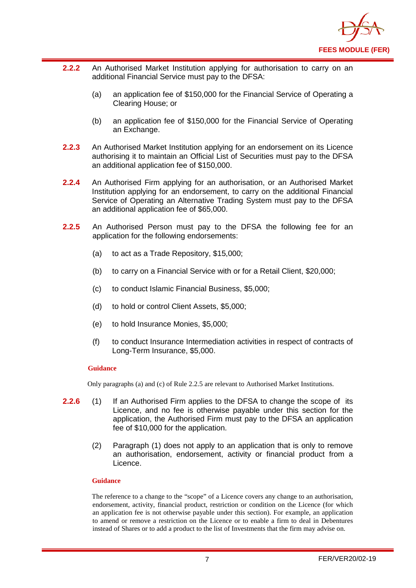

- **2.2.2** An Authorised Market Institution applying for authorisation to carry on an additional Financial Service must pay to the DFSA:
	- (a) an application fee of \$150,000 for the Financial Service of Operating a Clearing House; or
	- (b) an application fee of \$150,000 for the Financial Service of Operating an Exchange.
- **2.2.3** An Authorised Market Institution applying for an endorsement on its Licence authorising it to maintain an Official List of Securities must pay to the DFSA an additional application fee of \$150,000.
- **2.2.4** An Authorised Firm applying for an authorisation, or an Authorised Market Institution applying for an endorsement, to carry on the additional Financial Service of Operating an Alternative Trading System must pay to the DFSA an additional application fee of \$65,000.
- **2.2.5** An Authorised Person must pay to the DFSA the following fee for an application for the following endorsements:
	- (a) to act as a Trade Repository, \$15,000;
	- (b) to carry on a Financial Service with or for a Retail Client, \$20,000;
	- (c) to conduct Islamic Financial Business, \$5,000;
	- (d) to hold or control Client Assets, \$5,000;
	- (e) to hold Insurance Monies, \$5,000;
	- (f) to conduct Insurance Intermediation activities in respect of contracts of Long-Term Insurance, \$5,000.

#### **Guidance**

Only paragraphs (a) and (c) of Rule 2.2.5 are relevant to Authorised Market Institutions.

- **2.2.6** (1) If an Authorised Firm applies to the DFSA to change the scope of its Licence, and no fee is otherwise payable under this section for the application, the Authorised Firm must pay to the DFSA an application fee of \$10,000 for the application.
	- (2) Paragraph (1) does not apply to an application that is only to remove an authorisation, endorsement, activity or financial product from a Licence.

#### **Guidance**

The reference to a change to the "scope" of a Licence covers any change to an authorisation, endorsement, activity, financial product, restriction or condition on the Licence (for which an application fee is not otherwise payable under this section). For example, an application to amend or remove a restriction on the Licence or to enable a firm to deal in Debentures instead of Shares or to add a product to the list of Investments that the firm may advise on.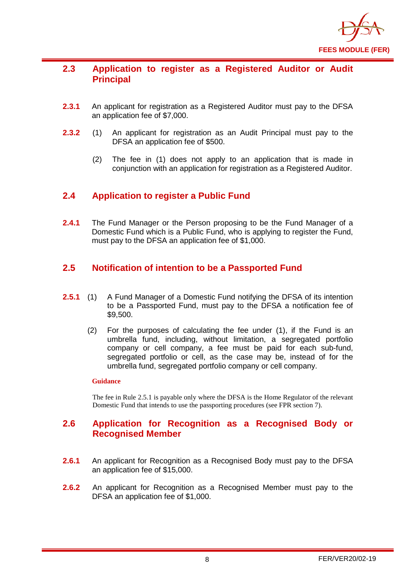

#### <span id="page-9-0"></span>**2.3 Application to register as a Registered Auditor or Audit Principal**

- **2.3.1** An applicant for registration as a Registered Auditor must pay to the DFSA an application fee of \$7,000.
- **2.3.2** (1) An applicant for registration as an Audit Principal must pay to the DFSA an application fee of \$500.
	- (2) The fee in (1) does not apply to an application that is made in conjunction with an application for registration as a Registered Auditor.

## <span id="page-9-1"></span>**2.4 Application to register a Public Fund**

**2.4.1** The Fund Manager or the Person proposing to be the Fund Manager of a Domestic Fund which is a Public Fund, who is applying to register the Fund, must pay to the DFSA an application fee of \$1,000.

## <span id="page-9-2"></span>**2.5 Notification of intention to be a Passported Fund**

- **2.5.1** (1) A Fund Manager of a Domestic Fund notifying the DFSA of its intention to be a Passported Fund, must pay to the DFSA a notification fee of \$9,500.
	- (2) For the purposes of calculating the fee under (1), if the Fund is an umbrella fund, including, without limitation, a segregated portfolio company or cell company, a fee must be paid for each sub-fund, segregated portfolio or cell, as the case may be, instead of for the umbrella fund, segregated portfolio company or cell company.

#### **Guidance**

The fee in Rule 2.5.1 is payable only where the DFSA is the Home Regulator of the relevant Domestic Fund that intends to use the passporting procedures (see FPR section 7).

#### <span id="page-9-3"></span>**2.6 Application for Recognition as a Recognised Body or Recognised Member**

- **2.6.1** An applicant for Recognition as a Recognised Body must pay to the DFSA an application fee of \$15,000.
- **2.6.2** An applicant for Recognition as a Recognised Member must pay to the DFSA an application fee of \$1,000.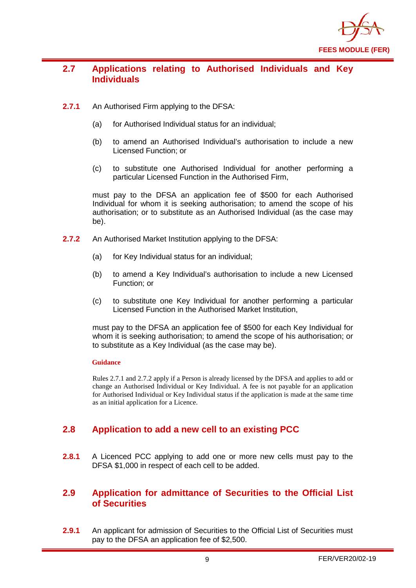

## <span id="page-10-0"></span>**2.7 Applications relating to Authorised Individuals and Key Individuals**

- **2.7.1** An Authorised Firm applying to the DFSA:
	- (a) for Authorised Individual status for an individual;
	- (b) to amend an Authorised Individual's authorisation to include a new Licensed Function; or
	- (c) to substitute one Authorised Individual for another performing a particular Licensed Function in the Authorised Firm,

must pay to the DFSA an application fee of \$500 for each Authorised Individual for whom it is seeking authorisation; to amend the scope of his authorisation; or to substitute as an Authorised Individual (as the case may be).

- **2.7.2** An Authorised Market Institution applying to the DFSA:
	- (a) for Key Individual status for an individual;
	- (b) to amend a Key Individual's authorisation to include a new Licensed Function; or
	- (c) to substitute one Key Individual for another performing a particular Licensed Function in the Authorised Market Institution,

must pay to the DFSA an application fee of \$500 for each Key Individual for whom it is seeking authorisation; to amend the scope of his authorisation; or to substitute as a Key Individual (as the case may be).

#### **Guidance**

Rules 2.7.1 and 2.7.2 apply if a Person is already licensed by the DFSA and applies to add or change an Authorised Individual or Key Individual. A fee is not payable for an application for Authorised Individual or Key Individual status if the application is made at the same time as an initial application for a Licence.

## <span id="page-10-1"></span>**2.8 Application to add a new cell to an existing PCC**

**2.8.1** A Licenced PCC applying to add one or more new cells must pay to the DFSA \$1,000 in respect of each cell to be added.

## <span id="page-10-2"></span>**2.9 Application for admittance of Securities to the Official List of Securities**

**2.9.1** An applicant for admission of Securities to the Official List of Securities must pay to the DFSA an application fee of \$2,500.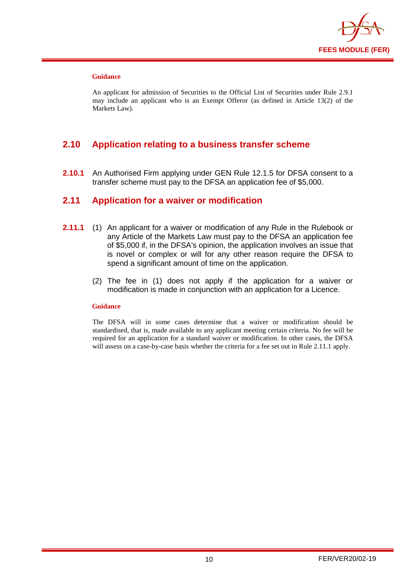

#### **Guidance**

An applicant for admission of Securities to the Official List of Securities under Rule 2.9.1 may include an applicant who is an Exempt Offeror (as defined in Article 13(2) of the Markets Law).

## <span id="page-11-0"></span>**2.10 Application relating to a business transfer scheme**

**2.10.1** An Authorised Firm applying under GEN Rule 12.1.5 for DFSA consent to a transfer scheme must pay to the DFSA an application fee of \$5,000.

#### <span id="page-11-1"></span>**2.11 Application for a waiver or modification**

- **2.11.1** (1) An applicant for a waiver or modification of any Rule in the Rulebook or any Article of the Markets Law must pay to the DFSA an application fee of \$5,000 if, in the DFSA's opinion, the application involves an issue that is novel or complex or will for any other reason require the DFSA to spend a significant amount of time on the application.
	- (2) The fee in (1) does not apply if the application for a waiver or modification is made in conjunction with an application for a Licence.

#### **Guidance**

The DFSA will in some cases determine that a waiver or modification should be standardised, that is, made available to any applicant meeting certain criteria. No fee will be required for an application for a standard waiver or modification. In other cases, the DFSA will assess on a case-by-case basis whether the criteria for a fee set out in Rule 2.11.1 apply.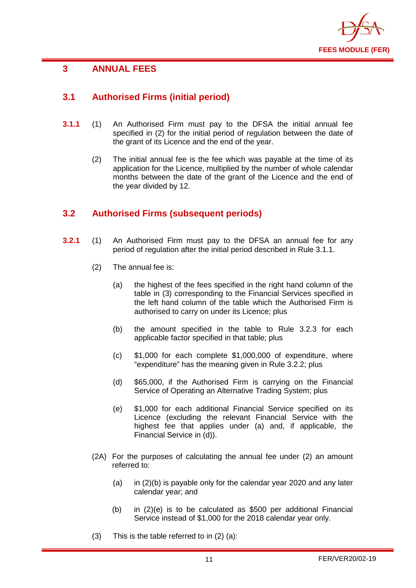

## <span id="page-12-0"></span>**3 ANNUAL FEES**

## <span id="page-12-1"></span>**3.1 Authorised Firms (initial period)**

- **3.1.1** (1) An Authorised Firm must pay to the DFSA the initial annual fee specified in (2) for the initial period of regulation between the date of the grant of its Licence and the end of the year.
	- (2) The initial annual fee is the fee which was payable at the time of its application for the Licence, multiplied by the number of whole calendar months between the date of the grant of the Licence and the end of the year divided by 12.

## <span id="page-12-2"></span>**3.2 Authorised Firms (subsequent periods)**

- **3.2.1** (1) An Authorised Firm must pay to the DFSA an annual fee for any period of regulation after the initial period described in Rule 3.1.1.
	- (2) The annual fee is:
		- (a) the highest of the fees specified in the right hand column of the table in (3) corresponding to the Financial Services specified in the left hand column of the table which the Authorised Firm is authorised to carry on under its Licence; plus
		- (b) the amount specified in the table to Rule 3.2.3 for each applicable factor specified in that table; plus
		- (c) \$1,000 for each complete \$1,000,000 of expenditure, where "expenditure" has the meaning given in Rule 3.2.2; plus
		- (d) \$65,000, if the Authorised Firm is carrying on the Financial Service of Operating an Alternative Trading System; plus
		- (e) \$1,000 for each additional Financial Service specified on its Licence (excluding the relevant Financial Service with the highest fee that applies under (a) and, if applicable, the Financial Service in (d)).
	- (2A) For the purposes of calculating the annual fee under (2) an amount referred to:
		- (a) in (2)(b) is payable only for the calendar year 2020 and any later calendar year; and
		- (b) in (2)(e) is to be calculated as \$500 per additional Financial Service instead of \$1,000 for the 2018 calendar year only.
	- (3) This is the table referred to in (2) (a):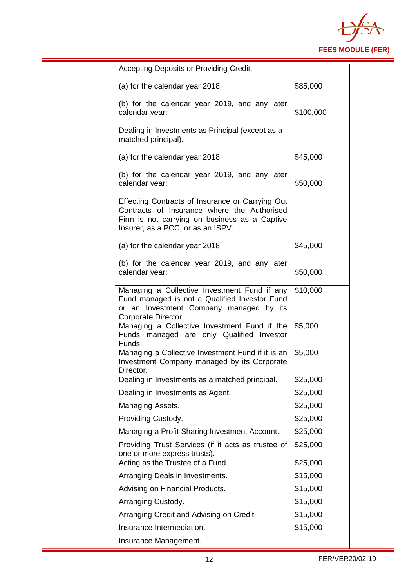

| Accepting Deposits or Providing Credit.                                                                                                                                               |           |
|---------------------------------------------------------------------------------------------------------------------------------------------------------------------------------------|-----------|
| (a) for the calendar year 2018:                                                                                                                                                       | \$85,000  |
| (b) for the calendar year 2019, and any later<br>calendar year:                                                                                                                       | \$100,000 |
| Dealing in Investments as Principal (except as a<br>matched principal).                                                                                                               |           |
| (a) for the calendar year 2018:                                                                                                                                                       | \$45,000  |
| (b) for the calendar year 2019, and any later<br>calendar year:                                                                                                                       | \$50,000  |
| Effecting Contracts of Insurance or Carrying Out<br>Contracts of Insurance where the Authorised<br>Firm is not carrying on business as a Captive<br>Insurer, as a PCC, or as an ISPV. |           |
| (a) for the calendar year 2018:                                                                                                                                                       | \$45,000  |
| (b) for the calendar year 2019, and any later<br>calendar year:                                                                                                                       | \$50,000  |
| Managing a Collective Investment Fund if any<br>Fund managed is not a Qualified Investor Fund<br>or an Investment Company managed by its<br>Corporate Director.                       | \$10,000  |
| Managing a Collective Investment Fund if the<br>Funds managed are only Qualified Investor<br>Funds.                                                                                   | \$5,000   |
| Managing a Collective Investment Fund if it is an<br>Investment Company managed by its Corporate<br>Director.                                                                         | \$5,000   |
| Dealing in Investments as a matched principal.                                                                                                                                        | \$25,000  |
| Dealing in Investments as Agent.                                                                                                                                                      | \$25,000  |
| Managing Assets.                                                                                                                                                                      | \$25,000  |
| Providing Custody.                                                                                                                                                                    | \$25,000  |
| Managing a Profit Sharing Investment Account.                                                                                                                                         | \$25,000  |
| Providing Trust Services (if it acts as trustee of<br>one or more express trusts).                                                                                                    | \$25,000  |
| Acting as the Trustee of a Fund.                                                                                                                                                      | \$25,000  |
| Arranging Deals in Investments.                                                                                                                                                       | \$15,000  |
| Advising on Financial Products.                                                                                                                                                       | \$15,000  |
| Arranging Custody.                                                                                                                                                                    | \$15,000  |
| Arranging Credit and Advising on Credit                                                                                                                                               | \$15,000  |
| Insurance Intermediation.                                                                                                                                                             | \$15,000  |
| Insurance Management.                                                                                                                                                                 |           |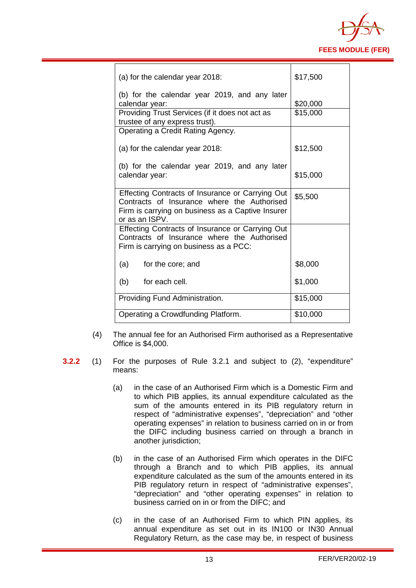

| (a) for the calendar year 2018:                                                                                                                                        | \$17,500 |
|------------------------------------------------------------------------------------------------------------------------------------------------------------------------|----------|
| (b) for the calendar year 2019, and any later<br>calendar year:                                                                                                        | \$20,000 |
| Providing Trust Services (if it does not act as<br>trustee of any express trust).                                                                                      | \$15,000 |
| Operating a Credit Rating Agency.                                                                                                                                      |          |
| (a) for the calendar year 2018:                                                                                                                                        | \$12,500 |
| (b) for the calendar year 2019, and any later<br>calendar year:                                                                                                        | \$15,000 |
| Effecting Contracts of Insurance or Carrying Out<br>Contracts of Insurance where the Authorised<br>Firm is carrying on business as a Captive Insurer<br>or as an ISPV. | \$5,500  |
| Effecting Contracts of Insurance or Carrying Out<br>Contracts of Insurance where the Authorised<br>Firm is carrying on business as a PCC:                              |          |
| (a)<br>for the core; and                                                                                                                                               | \$8,000  |
| for each cell.<br>(b)                                                                                                                                                  | \$1,000  |
| Providing Fund Administration.                                                                                                                                         | \$15,000 |
| Operating a Crowdfunding Platform.                                                                                                                                     | \$10,000 |

- (4) The annual fee for an Authorised Firm authorised as a Representative Office is \$4,000.
- **3.2.2** (1) For the purposes of Rule 3.2.1 and subject to (2), "expenditure" means:
	- (a) in the case of an Authorised Firm which is a Domestic Firm and to which PIB applies, its annual expenditure calculated as the sum of the amounts entered in its PIB regulatory return in respect of "administrative expenses", "depreciation" and "other operating expenses" in relation to business carried on in or from the DIFC including business carried on through a branch in another jurisdiction;
	- (b) in the case of an Authorised Firm which operates in the DIFC through a Branch and to which PIB applies, its annual expenditure calculated as the sum of the amounts entered in its PIB regulatory return in respect of "administrative expenses", "depreciation" and "other operating expenses" in relation to business carried on in or from the DIFC; and
	- (c) in the case of an Authorised Firm to which PIN applies, its annual expenditure as set out in its IN100 or IN30 Annual Regulatory Return, as the case may be, in respect of business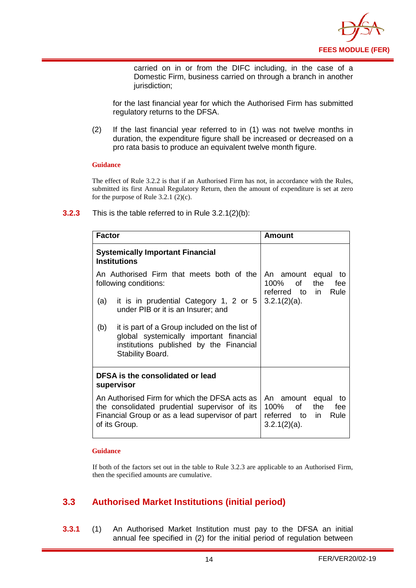

carried on in or from the DIFC including, in the case of a Domestic Firm, business carried on through a branch in another jurisdiction;

for the last financial year for which the Authorised Firm has submitted regulatory returns to the DFSA.

(2) If the last financial year referred to in (1) was not twelve months in duration, the expenditure figure shall be increased or decreased on a pro rata basis to produce an equivalent twelve month figure.

#### **Guidance**

The effect of Rule 3.2.2 is that if an Authorised Firm has not, in accordance with the Rules, submitted its first Annual Regulatory Return, then the amount of expenditure is set at zero for the purpose of Rule 3.2.1  $(2)(c)$ .

| <b>Factor</b>                                                                                                                                                      | Amount                                                                                         |
|--------------------------------------------------------------------------------------------------------------------------------------------------------------------|------------------------------------------------------------------------------------------------|
| <b>Systemically Important Financial</b><br><b>Institutions</b>                                                                                                     |                                                                                                |
| An Authorised Firm that meets both of the<br>following conditions:                                                                                                 | equal<br>An amount<br>to<br>100% of<br>the<br>fee<br>referred to in<br>Rule                    |
| $3.2.1(2)(a)$ .<br>it is in prudential Category 1, 2 or 5<br>(a)<br>under PIB or it is an Insurer; and                                                             |                                                                                                |
| it is part of a Group included on the list of<br>(b)<br>global systemically important financial<br>institutions published by the Financial<br>Stability Board.     |                                                                                                |
| DFSA is the consolidated or lead<br>supervisor                                                                                                                     |                                                                                                |
| An Authorised Firm for which the DFSA acts as<br>the consolidated prudential supervisor of its<br>Financial Group or as a lead supervisor of part<br>of its Group. | An amount equal<br>to<br>of<br>100%<br>the<br>fee<br>referred to in<br>Rule<br>$3.2.1(2)(a)$ . |

**3.2.3** This is the table referred to in Rule 3.2.1(2)(b):

#### **Guidance**

If both of the factors set out in the table to Rule 3.2.3 are applicable to an Authorised Firm, then the specified amounts are cumulative.

## <span id="page-15-0"></span>**3.3 Authorised Market Institutions (initial period)**

**3.3.1** (1) An Authorised Market Institution must pay to the DFSA an initial annual fee specified in (2) for the initial period of regulation between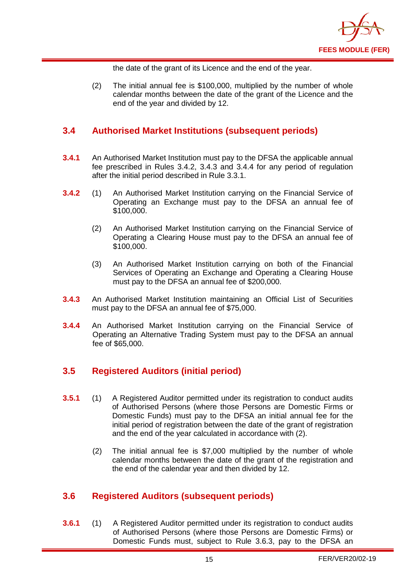

the date of the grant of its Licence and the end of the year.

(2) The initial annual fee is \$100,000, multiplied by the number of whole calendar months between the date of the grant of the Licence and the end of the year and divided by 12.

## <span id="page-16-0"></span>**3.4 Authorised Market Institutions (subsequent periods)**

- **3.4.1** An Authorised Market Institution must pay to the DFSA the applicable annual fee prescribed in Rules 3.4.2, 3.4.3 and 3.4.4 for any period of regulation after the initial period described in Rule 3.3.1.
- **3.4.2** (1) An Authorised Market Institution carrying on the Financial Service of Operating an Exchange must pay to the DFSA an annual fee of \$100,000.
	- (2) An Authorised Market Institution carrying on the Financial Service of Operating a Clearing House must pay to the DFSA an annual fee of \$100,000.
	- (3) An Authorised Market Institution carrying on both of the Financial Services of Operating an Exchange and Operating a Clearing House must pay to the DFSA an annual fee of \$200,000.
- **3.4.3** An Authorised Market Institution maintaining an Official List of Securities must pay to the DFSA an annual fee of \$75,000.
- **3.4.4** An Authorised Market Institution carrying on the Financial Service of Operating an Alternative Trading System must pay to the DFSA an annual fee of \$65,000.

## <span id="page-16-1"></span>**3.5 Registered Auditors (initial period)**

- **3.5.1** (1) A Registered Auditor permitted under its registration to conduct audits of Authorised Persons (where those Persons are Domestic Firms or Domestic Funds) must pay to the DFSA an initial annual fee for the initial period of registration between the date of the grant of registration and the end of the year calculated in accordance with (2).
	- (2) The initial annual fee is \$7,000 multiplied by the number of whole calendar months between the date of the grant of the registration and the end of the calendar year and then divided by 12.

## <span id="page-16-2"></span>**3.6 Registered Auditors (subsequent periods)**

**3.6.1** (1) A Registered Auditor permitted under its registration to conduct audits of Authorised Persons (where those Persons are Domestic Firms) or Domestic Funds must, subject to Rule 3.6.3, pay to the DFSA an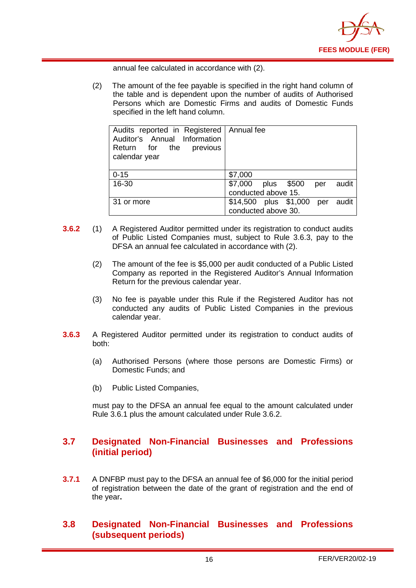

annual fee calculated in accordance with (2).

(2) The amount of the fee payable is specified in the right hand column of the table and is dependent upon the number of audits of Authorised Persons which are Domestic Firms and audits of Domestic Funds specified in the left hand column.

| Audits reported in Registered   Annual fee<br>Auditor's Annual Information<br>Return for the previous<br>calendar year |                                       |
|------------------------------------------------------------------------------------------------------------------------|---------------------------------------|
| $0 - 15$                                                                                                               | \$7,000                               |
| 16-30                                                                                                                  | \$7,000<br>plus \$500<br>audit<br>per |
|                                                                                                                        | conducted above 15.                   |
| 31 or more                                                                                                             | \$14,500 plus \$1,000 per audit       |
|                                                                                                                        | conducted above 30.                   |

- **3.6.2** (1) A Registered Auditor permitted under its registration to conduct audits of Public Listed Companies must, subject to Rule 3.6.3, pay to the DFSA an annual fee calculated in accordance with (2).
	- (2) The amount of the fee is \$5,000 per audit conducted of a Public Listed Company as reported in the Registered Auditor's Annual Information Return for the previous calendar year.
	- (3) No fee is payable under this Rule if the Registered Auditor has not conducted any audits of Public Listed Companies in the previous calendar year.
- **3.6.3** A Registered Auditor permitted under its registration to conduct audits of both:
	- (a) Authorised Persons (where those persons are Domestic Firms) or Domestic Funds; and
	- (b) Public Listed Companies,

must pay to the DFSA an annual fee equal to the amount calculated under Rule 3.6.1 plus the amount calculated under Rule 3.6.2.

## <span id="page-17-0"></span>**3.7 Designated Non-Financial Businesses and Professions (initial period)**

**3.7.1** A DNFBP must pay to the DFSA an annual fee of \$6,000 for the initial period of registration between the date of the grant of registration and the end of the year**.** 

## <span id="page-17-1"></span>**3.8 Designated Non-Financial Businesses and Professions (subsequent periods)**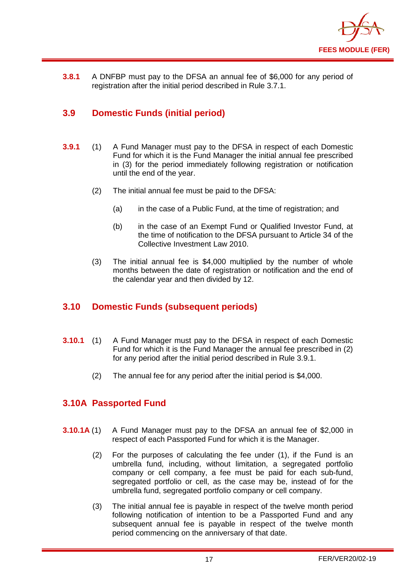

**3.8.1** A DNFBP must pay to the DFSA an annual fee of \$6,000 for any period of registration after the initial period described in Rule 3.7.1.

## <span id="page-18-0"></span>**3.9 Domestic Funds (initial period)**

- **3.9.1** (1) A Fund Manager must pay to the DFSA in respect of each Domestic Fund for which it is the Fund Manager the initial annual fee prescribed in (3) for the period immediately following registration or notification until the end of the year.
	- (2) The initial annual fee must be paid to the DFSA:
		- (a) in the case of a Public Fund, at the time of registration; and
		- (b) in the case of an Exempt Fund or Qualified Investor Fund, at the time of notification to the DFSA pursuant to Article 34 of the Collective Investment Law 2010.
	- (3) The initial annual fee is \$4,000 multiplied by the number of whole months between the date of registration or notification and the end of the calendar year and then divided by 12.

## <span id="page-18-1"></span>**3.10 Domestic Funds (subsequent periods)**

- **3.10.1** (1) A Fund Manager must pay to the DFSA in respect of each Domestic Fund for which it is the Fund Manager the annual fee prescribed in (2) for any period after the initial period described in Rule 3.9.1.
	- (2) The annual fee for any period after the initial period is \$4,000.

## <span id="page-18-2"></span>**3.10A Passported Fund**

- **3.10.1A** (1) A Fund Manager must pay to the DFSA an annual fee of \$2,000 in respect of each Passported Fund for which it is the Manager.
	- (2) For the purposes of calculating the fee under (1), if the Fund is an umbrella fund, including, without limitation, a segregated portfolio company or cell company, a fee must be paid for each sub-fund, segregated portfolio or cell, as the case may be, instead of for the umbrella fund, segregated portfolio company or cell company.
	- (3) The initial annual fee is payable in respect of the twelve month period following notification of intention to be a Passported Fund and any subsequent annual fee is payable in respect of the twelve month period commencing on the anniversary of that date.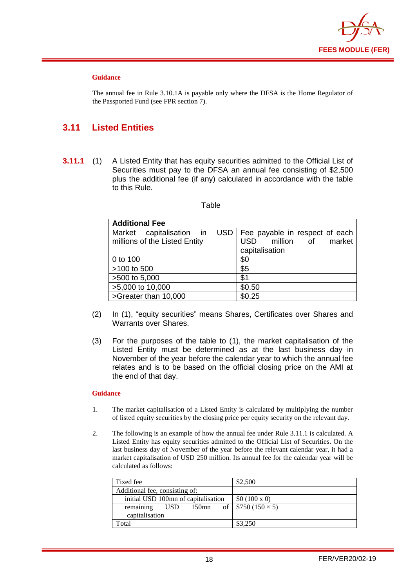

#### **Guidance**

The annual fee in Rule 3.10.1A is payable only where the DFSA is the Home Regulator of the Passported Fund (see FPR section 7).

## <span id="page-19-0"></span>**3.11 Listed Entities**

**3.11.1** (1) A Listed Entity that has equity securities admitted to the Official List of Securities must pay to the DFSA an annual fee consisting of \$2,500 plus the additional fee (if any) calculated in accordance with the table to this Rule.

#### Table

| <b>Additional Fee</b>         |                                      |
|-------------------------------|--------------------------------------|
| Market capitalisation in      | USD   Fee payable in respect of each |
| millions of the Listed Entity | million of market<br><b>USD</b>      |
|                               | capitalisation                       |
| 0 to 100                      | \$0                                  |
| >100 to 500                   | \$5                                  |
| >500 to 5,000                 | \$1                                  |
| >5,000 to 10,000              | \$0.50                               |
| >Greater than 10,000          | \$0.25                               |

- (2) In (1), "equity securities" means Shares, Certificates over Shares and Warrants over Shares.
- (3) For the purposes of the table to (1), the market capitalisation of the Listed Entity must be determined as at the last business day in November of the year before the calendar year to which the annual fee relates and is to be based on the official closing price on the AMI at the end of that day.

#### **Guidance**

- 1. The market capitalisation of a Listed Entity is calculated by multiplying the number of listed equity securities by the closing price per equity security on the relevant day.
- 2. The following is an example of how the annual fee under Rule 3.11.1 is calculated. A Listed Entity has equity securities admitted to the Official List of Securities. On the last business day of November of the year before the relevant calendar year, it had a market capitalisation of USD 250 million. Its annual fee for the calendar year will be calculated as follows:

| Fixed fee                           | \$2,500                    |
|-------------------------------------|----------------------------|
| Additional fee, consisting of:      |                            |
| initial USD 100mn of capitalisation | \$0 (100 x 0)              |
| remaining<br>150mn<br><b>USD</b>    | of   $$750 (150 \times 5)$ |
| capitalisation                      |                            |
| Total                               | \$3,250                    |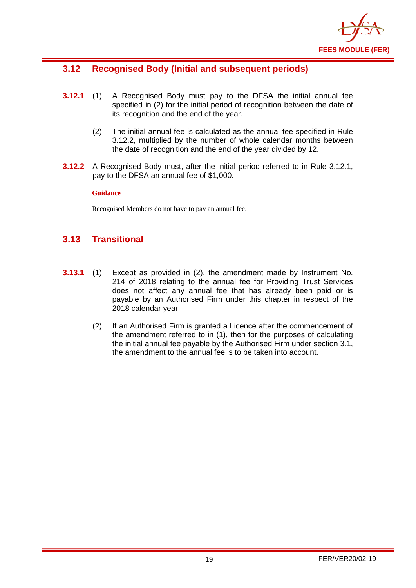

## <span id="page-20-0"></span>**3.12 Recognised Body (Initial and subsequent periods)**

- **3.12.1** (1) A Recognised Body must pay to the DFSA the initial annual fee specified in (2) for the initial period of recognition between the date of its recognition and the end of the year.
	- (2) The initial annual fee is calculated as the annual fee specified in Rule 3.12.2, multiplied by the number of whole calendar months between the date of recognition and the end of the year divided by 12.
- **3.12.2** A Recognised Body must, after the initial period referred to in Rule 3.12.1, pay to the DFSA an annual fee of \$1,000.

#### **Guidance**

Recognised Members do not have to pay an annual fee.

## <span id="page-20-1"></span>**3.13 Transitional**

- **3.13.1** (1) Except as provided in (2), the amendment made by Instrument No. 214 of 2018 relating to the annual fee for Providing Trust Services does not affect any annual fee that has already been paid or is payable by an Authorised Firm under this chapter in respect of the 2018 calendar year.
	- (2) If an Authorised Firm is granted a Licence after the commencement of the amendment referred to in (1), then for the purposes of calculating the initial annual fee payable by the Authorised Firm under section 3.1, the amendment to the annual fee is to be taken into account.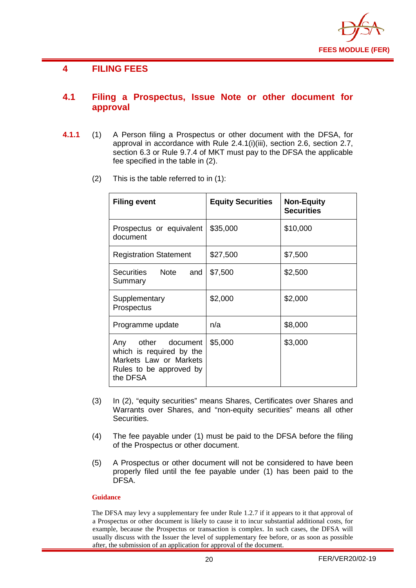

#### <span id="page-21-0"></span>**4 FILING FEES**

#### <span id="page-21-1"></span>**4.1 Filing a Prospectus, Issue Note or other document for approval**

- **4.1.1** (1) A Person filing a Prospectus or other document with the DFSA, for approval in accordance with Rule 2.4.1(i)(iii), section 2.6, section 2.7, section 6.3 or Rule 9.7.4 of MKT must pay to the DFSA the applicable fee specified in the table in (2).
	- (2) This is the table referred to in (1):

| <b>Filing event</b>                                                                                             | <b>Equity Securities</b> | <b>Non-Equity</b><br><b>Securities</b> |
|-----------------------------------------------------------------------------------------------------------------|--------------------------|----------------------------------------|
| Prospectus or equivalent<br>document                                                                            | \$35,000                 | \$10,000                               |
| <b>Registration Statement</b>                                                                                   | \$27,500                 | \$7,500                                |
| Securities Note<br>and<br>Summary                                                                               | \$7,500                  | \$2,500                                |
| Supplementary<br>Prospectus                                                                                     | \$2,000                  | \$2,000                                |
| Programme update                                                                                                | n/a                      | \$8,000                                |
| Any other document<br>which is required by the<br>Markets Law or Markets<br>Rules to be approved by<br>the DFSA | \$5,000                  | \$3,000                                |

- (3) In (2), "equity securities" means Shares, Certificates over Shares and Warrants over Shares, and "non-equity securities" means all other Securities.
- (4) The fee payable under (1) must be paid to the DFSA before the filing of the Prospectus or other document.
- (5) A Prospectus or other document will not be considered to have been properly filed until the fee payable under (1) has been paid to the DFSA.

#### **Guidance**

The DFSA may levy a supplementary fee under Rule 1.2.7 if it appears to it that approval of a Prospectus or other document is likely to cause it to incur substantial additional costs, for example, because the Prospectus or transaction is complex. In such cases, the DFSA will usually discuss with the Issuer the level of supplementary fee before, or as soon as possible after, the submission of an application for approval of the document.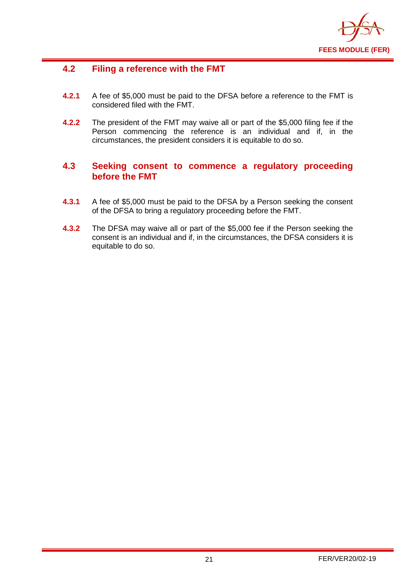

## <span id="page-22-0"></span>**4.2 Filing a reference with the FMT**

- **4.2.1** A fee of \$5,000 must be paid to the DFSA before a reference to the FMT is considered filed with the FMT.
- **4.2.2** The president of the FMT may waive all or part of the \$5,000 filing fee if the Person commencing the reference is an individual and if, in the circumstances, the president considers it is equitable to do so.

## <span id="page-22-1"></span>**4.3 Seeking consent to commence a regulatory proceeding before the FMT**

- **4.3.1** A fee of \$5,000 must be paid to the DFSA by a Person seeking the consent of the DFSA to bring a regulatory proceeding before the FMT.
- **4.3.2** The DFSA may waive all or part of the \$5,000 fee if the Person seeking the consent is an individual and if, in the circumstances, the DFSA considers it is equitable to do so.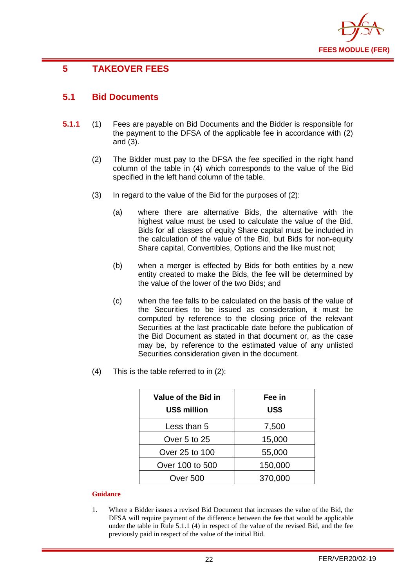

## <span id="page-23-0"></span>**5 TAKEOVER FEES**

## <span id="page-23-1"></span>**5.1 Bid Documents**

- **5.1.1** (1) Fees are payable on Bid Documents and the Bidder is responsible for the payment to the DFSA of the applicable fee in accordance with (2) and (3).
	- (2) The Bidder must pay to the DFSA the fee specified in the right hand column of the table in (4) which corresponds to the value of the Bid specified in the left hand column of the table.
	- (3) In regard to the value of the Bid for the purposes of (2):
		- (a) where there are alternative Bids, the alternative with the highest value must be used to calculate the value of the Bid. Bids for all classes of equity Share capital must be included in the calculation of the value of the Bid, but Bids for non-equity Share capital, Convertibles, Options and the like must not;
		- (b) when a merger is effected by Bids for both entities by a new entity created to make the Bids, the fee will be determined by the value of the lower of the two Bids; and
		- (c) when the fee falls to be calculated on the basis of the value of the Securities to be issued as consideration, it must be computed by reference to the closing price of the relevant Securities at the last practicable date before the publication of the Bid Document as stated in that document or, as the case may be, by reference to the estimated value of any unlisted Securities consideration given in the document.
	- (4) This is the table referred to in (2):

| Value of the Bid in<br><b>US\$ million</b> | Fee in<br>US\$ |
|--------------------------------------------|----------------|
| Less than 5                                | 7,500          |
| Over 5 to 25                               | 15,000         |
| Over 25 to 100                             | 55,000         |
| Over 100 to 500                            | 150,000        |
| Over 500                                   | 370,000        |

#### **Guidance**

1. Where a Bidder issues a revised Bid Document that increases the value of the Bid, the DFSA will require payment of the difference between the fee that would be applicable under the table in Rule 5.1.1 (4) in respect of the value of the revised Bid, and the fee previously paid in respect of the value of the initial Bid.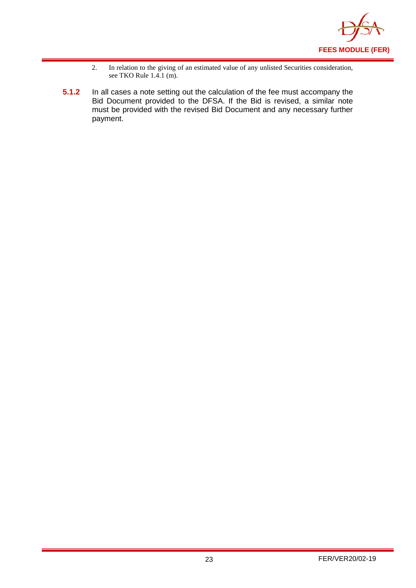

- 2. In relation to the giving of an estimated value of any unlisted Securities consideration, see TKO Rule 1.4.1 (m).
- **5.1.2** In all cases a note setting out the calculation of the fee must accompany the Bid Document provided to the DFSA. If the Bid is revised, a similar note must be provided with the revised Bid Document and any necessary further payment.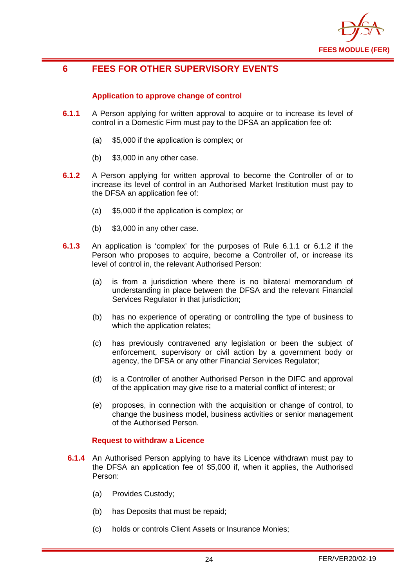

## <span id="page-25-0"></span>**6 FEES FOR OTHER SUPERVISORY EVENTS**

#### **Application to approve change of control**

- **6.1.1** A Person applying for written approval to acquire or to increase its level of control in a Domestic Firm must pay to the DFSA an application fee of:
	- (a) \$5,000 if the application is complex; or
	- (b) \$3,000 in any other case.
- **6.1.2** A Person applying for written approval to become the Controller of or to increase its level of control in an Authorised Market Institution must pay to the DFSA an application fee of:
	- (a) \$5,000 if the application is complex; or
	- (b) \$3,000 in any other case.
- **6.1.3** An application is 'complex' for the purposes of Rule 6.1.1 or 6.1.2 if the Person who proposes to acquire, become a Controller of, or increase its level of control in, the relevant Authorised Person:
	- (a) is from a jurisdiction where there is no bilateral memorandum of understanding in place between the DFSA and the relevant Financial Services Regulator in that jurisdiction;
	- (b) has no experience of operating or controlling the type of business to which the application relates;
	- (c) has previously contravened any legislation or been the subject of enforcement, supervisory or civil action by a government body or agency, the DFSA or any other Financial Services Regulator;
	- (d) is a Controller of another Authorised Person in the DIFC and approval of the application may give rise to a material conflict of interest; or
	- (e) proposes, in connection with the acquisition or change of control, to change the business model, business activities or senior management of the Authorised Person.

#### **Request to withdraw a Licence**

- **6.1.4** An Authorised Person applying to have its Licence withdrawn must pay to the DFSA an application fee of \$5,000 if, when it applies, the Authorised Person:
	- (a) Provides Custody;
	- (b) has Deposits that must be repaid;
	- (c) holds or controls Client Assets or Insurance Monies;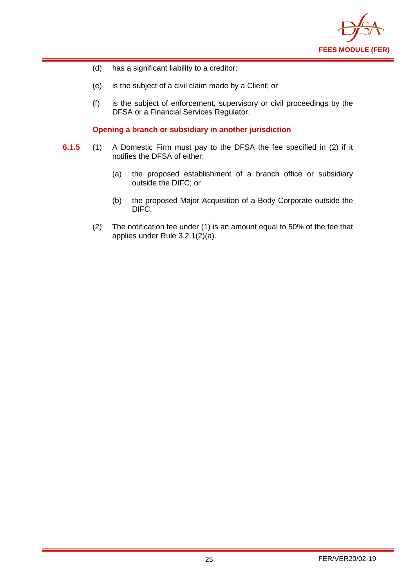

- (d) has a significant liability to a creditor;
- (e) is the subject of a civil claim made by a Client; or
- (f) is the subject of enforcement, supervisory or civil proceedings by the DFSA or a Financial Services Regulator.

**Opening a branch or subsidiary in another jurisdiction** 

- **6.1.5** (1) A Domestic Firm must pay to the DFSA the fee specified in (2) if it notifies the DFSA of either:
	- (a) the proposed establishment of a branch office or subsidiary outside the DIFC; or
	- (b) the proposed Major Acquisition of a Body Corporate outside the DIFC.
	- (2) The notification fee under (1) is an amount equal to 50% of the fee that applies under Rule 3.2.1(2)(a).